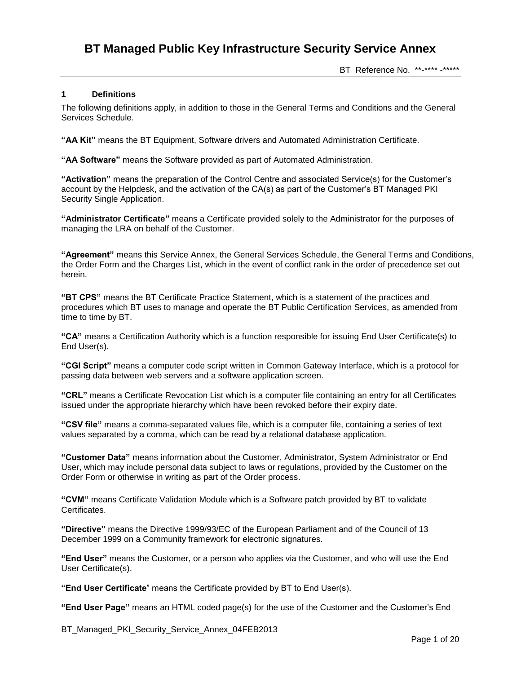BT Reference No. \*\*-\*\*\*\* -\*\*\*\*\*

### **1 Definitions**

The following definitions apply, in addition to those in the General Terms and Conditions and the General Services Schedule.

**"AA Kit"** means the BT Equipment, Software drivers and Automated Administration Certificate.

**"AA Software"** means the Software provided as part of Automated Administration.

**"Activation"** means the preparation of the Control Centre and associated Service(s) for the Customer's account by the Helpdesk, and the activation of the CA(s) as part of the Customer's BT Managed PKI Security Single Application.

**"Administrator Certificate"** means a Certificate provided solely to the Administrator for the purposes of managing the LRA on behalf of the Customer.

**"Agreement"** means this Service Annex, the General Services Schedule, the General Terms and Conditions, the Order Form and the Charges List, which in the event of conflict rank in the order of precedence set out herein.

**"BT CPS"** means the BT Certificate Practice Statement, which is a statement of the practices and procedures which BT uses to manage and operate the BT Public Certification Services, as amended from time to time by BT.

**"CA"** means a Certification Authority which is a function responsible for issuing End User Certificate(s) to End User(s).

**"CGI Script"** means a computer code script written in Common Gateway Interface, which is a protocol for passing data between web servers and a software application screen.

**"CRL"** means a Certificate Revocation List which is a computer file containing an entry for all Certificates issued under the appropriate hierarchy which have been revoked before their expiry date.

**"CSV file"** means a comma-separated values file, which is a computer file, containing a series of text values separated by a comma, which can be read by a relational database application.

**"Customer Data"** means information about the Customer, Administrator, System Administrator or End User, which may include personal data subject to laws or regulations, provided by the Customer on the Order Form or otherwise in writing as part of the Order process.

**"CVM"** means Certificate Validation Module which is a Software patch provided by BT to validate Certificates.

**"Directive"** means the Directive 1999/93/EC of the European Parliament and of the Council of 13 December 1999 on a Community framework for electronic signatures.

**"End User"** means the Customer, or a person who applies via the Customer, and who will use the End User Certificate(s).

**"End User Certificate**" means the Certificate provided by BT to End User(s).

**"End User Page"** means an HTML coded page(s) for the use of the Customer and the Customer's End

BT\_Managed\_PKI\_Security\_Service\_Annex\_04FEB2013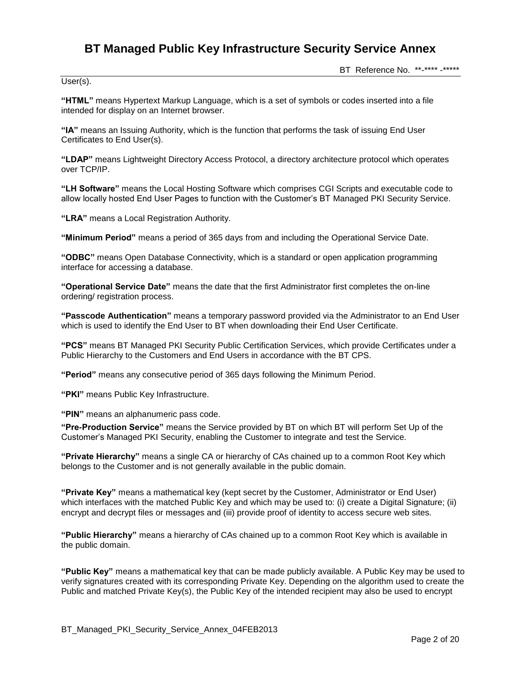User(s).

BT Reference No. \*\*-\*\*\*\* -\*\*\*\*\*

**"HTML"** means Hypertext Markup Language, which is a set of symbols or codes inserted into a file intended for display on an Internet browser.

**"IA"** means an Issuing Authority, which is the function that performs the task of issuing End User Certificates to End User(s).

**"LDAP"** means Lightweight Directory Access Protocol, a directory architecture protocol which operates over TCP/IP.

**"LH Software"** means the Local Hosting Software which comprises CGI Scripts and executable code to allow locally hosted End User Pages to function with the Customer's BT Managed PKI Security Service.

**"LRA"** means a Local Registration Authority.

**"Minimum Period"** means a period of 365 days from and including the Operational Service Date.

**"ODBC"** means Open Database Connectivity, which is a standard or open application programming interface for accessing a database.

**"Operational Service Date"** means the date that the first Administrator first completes the on-line ordering/ registration process.

**"Passcode Authentication"** means a temporary password provided via the Administrator to an End User which is used to identify the End User to BT when downloading their End User Certificate.

**"PCS"** means BT Managed PKI Security Public Certification Services, which provide Certificates under a Public Hierarchy to the Customers and End Users in accordance with the BT CPS.

**"Period"** means any consecutive period of 365 days following the Minimum Period.

**"PKI"** means Public Key Infrastructure.

**"PIN"** means an alphanumeric pass code.

**"Pre-Production Service"** means the Service provided by BT on which BT will perform Set Up of the Customer's Managed PKI Security, enabling the Customer to integrate and test the Service.

**"Private Hierarchy"** means a single CA or hierarchy of CAs chained up to a common Root Key which belongs to the Customer and is not generally available in the public domain.

**"Private Key"** means a mathematical key (kept secret by the Customer, Administrator or End User) which interfaces with the matched Public Key and which may be used to: (i) create a Digital Signature; (ii) encrypt and decrypt files or messages and (iii) provide proof of identity to access secure web sites.

**"Public Hierarchy"** means a hierarchy of CAs chained up to a common Root Key which is available in the public domain.

**"Public Key"** means a mathematical key that can be made publicly available. A Public Key may be used to verify signatures created with its corresponding Private Key. Depending on the algorithm used to create the Public and matched Private Key(s), the Public Key of the intended recipient may also be used to encrypt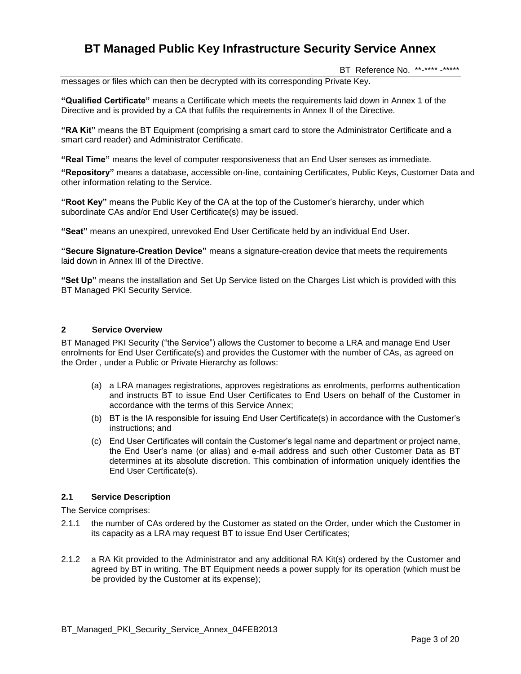BT Reference No. \*\*-\*\*\*\* -\*\*\*\*\*

messages or files which can then be decrypted with its corresponding Private Key.

**"Qualified Certificate"** means a Certificate which meets the requirements laid down in Annex 1 of the Directive and is provided by a CA that fulfils the requirements in Annex II of the Directive.

**"RA Kit"** means the BT Equipment (comprising a smart card to store the Administrator Certificate and a smart card reader) and Administrator Certificate.

**"Real Time"** means the level of computer responsiveness that an End User senses as immediate.

**"Repository"** means a database, accessible on-line, containing Certificates, Public Keys, Customer Data and other information relating to the Service.

**"Root Key"** means the Public Key of the CA at the top of the Customer's hierarchy, under which subordinate CAs and/or End User Certificate(s) may be issued.

**"Seat"** means an unexpired, unrevoked End User Certificate held by an individual End User.

**"Secure Signature-Creation Device"** means a signature-creation device that meets the requirements laid down in Annex III of the Directive.

**"Set Up"** means the installation and Set Up Service listed on the Charges List which is provided with this BT Managed PKI Security Service.

### **2 Service Overview**

BT Managed PKI Security ("the Service") allows the Customer to become a LRA and manage End User enrolments for End User Certificate(s) and provides the Customer with the number of CAs, as agreed on the Order , under a Public or Private Hierarchy as follows:

- (a) a LRA manages registrations, approves registrations as enrolments, performs authentication and instructs BT to issue End User Certificates to End Users on behalf of the Customer in accordance with the terms of this Service Annex;
- (b) BT is the IA responsible for issuing End User Certificate(s) in accordance with the Customer's instructions; and
- (c) End User Certificates will contain the Customer's legal name and department or project name, the End User's name (or alias) and e-mail address and such other Customer Data as BT determines at its absolute discretion. This combination of information uniquely identifies the End User Certificate(s).

#### **2.1 Service Description**

The Service comprises:

- 2.1.1 the number of CAs ordered by the Customer as stated on the Order, under which the Customer in its capacity as a LRA may request BT to issue End User Certificates;
- 2.1.2 a RA Kit provided to the Administrator and any additional RA Kit(s) ordered by the Customer and agreed by BT in writing. The BT Equipment needs a power supply for its operation (which must be be provided by the Customer at its expense);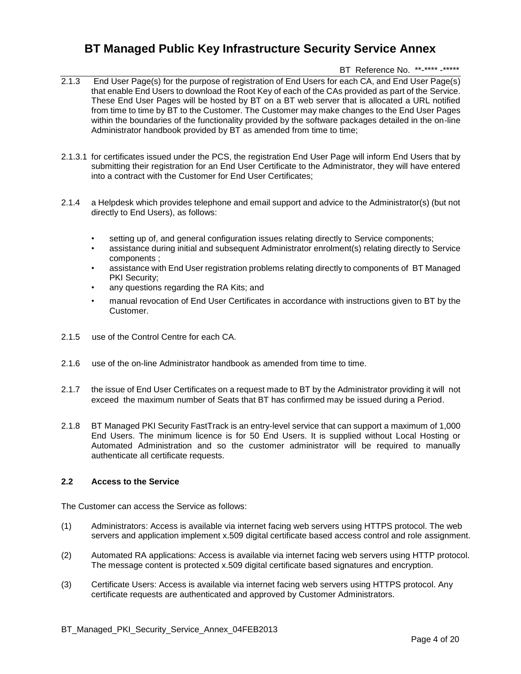## BT Reference No. \*\*-\*\*\*\* -\*\*\*\*\*

- 2.1.3 End User Page(s) for the purpose of registration of End Users for each CA, and End User Page(s) that enable End Users to download the Root Key of each of the CAs provided as part of the Service. These End User Pages will be hosted by BT on a BT web server that is allocated a URL notified from time to time by BT to the Customer. The Customer may make changes to the End User Pages within the boundaries of the functionality provided by the software packages detailed in the on-line Administrator handbook provided by BT as amended from time to time:
- 2.1.3.1 for certificates issued under the PCS, the registration End User Page will inform End Users that by submitting their registration for an End User Certificate to the Administrator, they will have entered into a contract with the Customer for End User Certificates;
- 2.1.4 a Helpdesk which provides telephone and email support and advice to the Administrator(s) (but not directly to End Users), as follows:
	- setting up of, and general configuration issues relating directly to Service components;
	- assistance during initial and subsequent Administrator enrolment(s) relating directly to Service components ;
	- assistance with End User registration problems relating directly to components of BT Managed PKI Security;
	- any questions regarding the RA Kits; and
	- manual revocation of End User Certificates in accordance with instructions given to BT by the Customer.
- 2.1.5 use of the Control Centre for each CA.
- 2.1.6 use of the on-line Administrator handbook as amended from time to time.
- 2.1.7 the issue of End User Certificates on a request made to BT by the Administrator providing it will not exceed the maximum number of Seats that BT has confirmed may be issued during a Period.
- 2.1.8 BT Managed PKI Security FastTrack is an entry-level service that can support a maximum of 1,000 End Users. The minimum licence is for 50 End Users. It is supplied without Local Hosting or Automated Administration and so the customer administrator will be required to manually authenticate all certificate requests.

### **2.2 Access to the Service**

The Customer can access the Service as follows:

- (1) Administrators: Access is available via internet facing web servers using HTTPS protocol. The web servers and application implement x.509 digital certificate based access control and role assignment.
- (2) Automated RA applications: Access is available via internet facing web servers using HTTP protocol. The message content is protected x.509 digital certificate based signatures and encryption.
- (3) Certificate Users: Access is available via internet facing web servers using HTTPS protocol. Any certificate requests are authenticated and approved by Customer Administrators.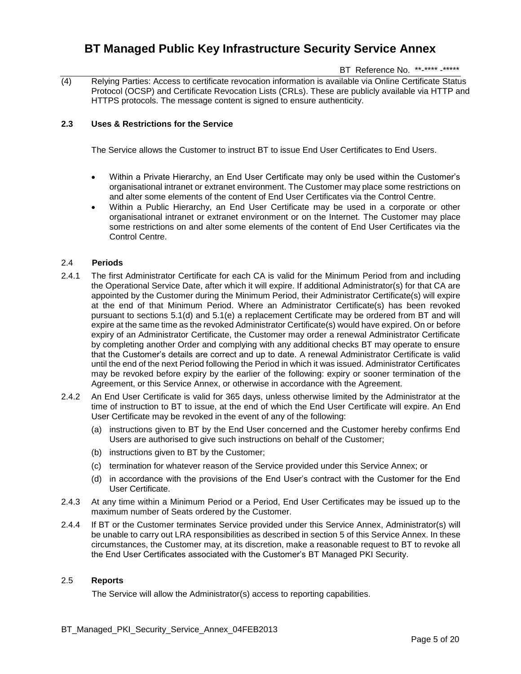BT Reference No. \*\*-\*\*\*\* -\*\*\*\*\*

(4) Relying Parties: Access to certificate revocation information is available via Online Certificate Status Protocol (OCSP) and Certificate Revocation Lists (CRLs). These are publicly available via HTTP and HTTPS protocols. The message content is signed to ensure authenticity.

## **2.3 Uses & Restrictions for the Service**

The Service allows the Customer to instruct BT to issue End User Certificates to End Users.

- Within a Private Hierarchy, an End User Certificate may only be used within the Customer's organisational intranet or extranet environment. The Customer may place some restrictions on and alter some elements of the content of End User Certificates via the Control Centre.
- Within a Public Hierarchy, an End User Certificate may be used in a corporate or other organisational intranet or extranet environment or on the Internet. The Customer may place some restrictions on and alter some elements of the content of End User Certificates via the Control Centre.

### 2.4 **Periods**

- 2.4.1 The first Administrator Certificate for each CA is valid for the Minimum Period from and including the Operational Service Date, after which it will expire. If additional Administrator(s) for that CA are appointed by the Customer during the Minimum Period, their Administrator Certificate(s) will expire at the end of that Minimum Period. Where an Administrator Certificate(s) has been revoked pursuant to sections 5.1(d) and 5.1(e) a replacement Certificate may be ordered from BT and will expire at the same time as the revoked Administrator Certificate(s) would have expired. On or before expiry of an Administrator Certificate, the Customer may order a renewal Administrator Certificate by completing another Order and complying with any additional checks BT may operate to ensure that the Customer's details are correct and up to date. A renewal Administrator Certificate is valid until the end of the next Period following the Period in which it was issued. Administrator Certificates may be revoked before expiry by the earlier of the following: expiry or sooner termination of the Agreement, or this Service Annex, or otherwise in accordance with the Agreement.
- 2.4.2 An End User Certificate is valid for 365 days, unless otherwise limited by the Administrator at the time of instruction to BT to issue, at the end of which the End User Certificate will expire. An End User Certificate may be revoked in the event of any of the following:
	- (a) instructions given to BT by the End User concerned and the Customer hereby confirms End Users are authorised to give such instructions on behalf of the Customer;
	- (b) instructions given to BT by the Customer;
	- (c) termination for whatever reason of the Service provided under this Service Annex; or
	- (d) in accordance with the provisions of the End User's contract with the Customer for the End User Certificate.
- 2.4.3 At any time within a Minimum Period or a Period, End User Certificates may be issued up to the maximum number of Seats ordered by the Customer.
- 2.4.4 If BT or the Customer terminates Service provided under this Service Annex, Administrator(s) will be unable to carry out LRA responsibilities as described in section 5 of this Service Annex. In these circumstances, the Customer may, at its discretion, make a reasonable request to BT to revoke all the End User Certificates associated with the Customer's BT Managed PKI Security.

### 2.5 **Reports**

The Service will allow the Administrator(s) access to reporting capabilities.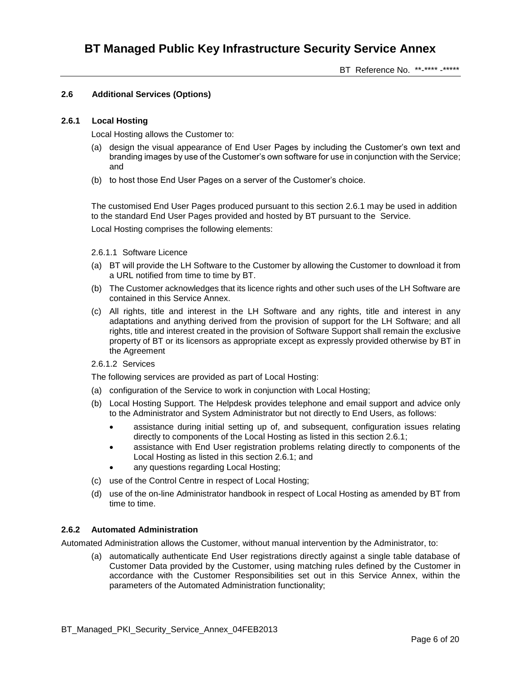BT Reference No. \*\*-\*\*\*\* -\*\*\*\*\*

## **2.6 Additional Services (Options)**

## **2.6.1 Local Hosting**

Local Hosting allows the Customer to:

- (a) design the visual appearance of End User Pages by including the Customer's own text and branding images by use of the Customer's own software for use in conjunction with the Service; and
- (b) to host those End User Pages on a server of the Customer's choice.

The customised End User Pages produced pursuant to this section 2.6.1 may be used in addition to the standard End User Pages provided and hosted by BT pursuant to the Service.

Local Hosting comprises the following elements:

- 2.6.1.1 Software Licence
- (a) BT will provide the LH Software to the Customer by allowing the Customer to download it from a URL notified from time to time by BT.
- (b) The Customer acknowledges that its licence rights and other such uses of the LH Software are contained in this Service Annex.
- (c) All rights, title and interest in the LH Software and any rights, title and interest in any adaptations and anything derived from the provision of support for the LH Software; and all rights, title and interest created in the provision of Software Support shall remain the exclusive property of BT or its licensors as appropriate except as expressly provided otherwise by BT in the Agreement
- 2.6.1.2 Services

The following services are provided as part of Local Hosting:

- (a) configuration of the Service to work in conjunction with Local Hosting;
- (b) Local Hosting Support. The Helpdesk provides telephone and email support and advice only to the Administrator and System Administrator but not directly to End Users, as follows:
	- assistance during initial setting up of, and subsequent, configuration issues relating directly to components of the Local Hosting as listed in this section 2.6.1;
	- assistance with End User registration problems relating directly to components of the Local Hosting as listed in this section 2.6.1; and
	- any questions regarding Local Hosting;
- (c) use of the Control Centre in respect of Local Hosting;
- (d) use of the on-line Administrator handbook in respect of Local Hosting as amended by BT from time to time.

### **2.6.2 Automated Administration**

Automated Administration allows the Customer, without manual intervention by the Administrator, to:

(a) automatically authenticate End User registrations directly against a single table database of Customer Data provided by the Customer, using matching rules defined by the Customer in accordance with the Customer Responsibilities set out in this Service Annex, within the parameters of the Automated Administration functionality;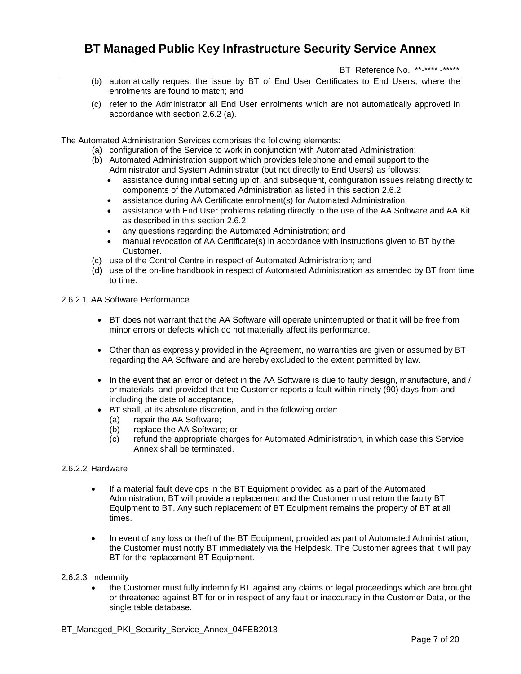BT Reference No. \*\*-\*\*\*\* -\*\*\*\*\*

- (b) automatically request the issue by BT of End User Certificates to End Users, where the enrolments are found to match; and
- (c) refer to the Administrator all End User enrolments which are not automatically approved in accordance with section 2.6.2 (a).

The Automated Administration Services comprises the following elements:

- (a) configuration of the Service to work in conjunction with Automated Administration;
- (b) Automated Administration support which provides telephone and email support to the Administrator and System Administrator (but not directly to End Users) as followss:
	- assistance during initial setting up of, and subsequent, configuration issues relating directly to components of the Automated Administration as listed in this section 2.6.2;
	- assistance during AA Certificate enrolment(s) for Automated Administration;
	- assistance with End User problems relating directly to the use of the AA Software and AA Kit as described in this section 2.6.2;
	- any questions regarding the Automated Administration; and
	- manual revocation of AA Certificate(s) in accordance with instructions given to BT by the Customer.
- (c) use of the Control Centre in respect of Automated Administration; and
- (d) use of the on-line handbook in respect of Automated Administration as amended by BT from time to time.

## 2.6.2.1 AA Software Performance

- BT does not warrant that the AA Software will operate uninterrupted or that it will be free from minor errors or defects which do not materially affect its performance.
- Other than as expressly provided in the Agreement, no warranties are given or assumed by BT regarding the AA Software and are hereby excluded to the extent permitted by law.
- In the event that an error or defect in the AA Software is due to faulty design, manufacture, and / or materials, and provided that the Customer reports a fault within ninety (90) days from and including the date of acceptance,
- BT shall, at its absolute discretion, and in the following order:
	- (a) repair the AA Software;
	- (b) replace the AA Software; or
	- (c) refund the appropriate charges for Automated Administration, in which case this Service Annex shall be terminated.

### 2.6.2.2 Hardware

- If a material fault develops in the BT Equipment provided as a part of the Automated Administration, BT will provide a replacement and the Customer must return the faulty BT Equipment to BT. Any such replacement of BT Equipment remains the property of BT at all times.
- In event of any loss or theft of the BT Equipment, provided as part of Automated Administration, the Customer must notify BT immediately via the Helpdesk. The Customer agrees that it will pay BT for the replacement BT Equipment.

#### 2.6.2.3 Indemnity

 the Customer must fully indemnify BT against any claims or legal proceedings which are brought or threatened against BT for or in respect of any fault or inaccuracy in the Customer Data, or the single table database.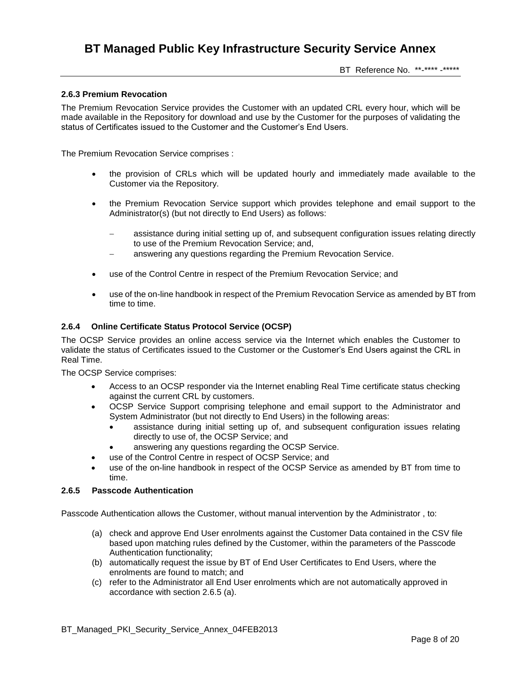BT Reference No. \*\*-\*\*\*\* -\*\*\*\*\*

### **2.6.3 Premium Revocation**

The Premium Revocation Service provides the Customer with an updated CRL every hour, which will be made available in the Repository for download and use by the Customer for the purposes of validating the status of Certificates issued to the Customer and the Customer's End Users.

The Premium Revocation Service comprises :

- the provision of CRLs which will be updated hourly and immediately made available to the Customer via the Repository.
- the Premium Revocation Service support which provides telephone and email support to the Administrator(s) (but not directly to End Users) as follows:
	- assistance during initial setting up of, and subsequent configuration issues relating directly to use of the Premium Revocation Service; and,
	- answering any questions regarding the Premium Revocation Service.
- use of the Control Centre in respect of the Premium Revocation Service; and
- use of the on-line handbook in respect of the Premium Revocation Service as amended by BT from time to time.

### **2.6.4 Online Certificate Status Protocol Service (OCSP)**

The OCSP Service provides an online access service via the Internet which enables the Customer to validate the status of Certificates issued to the Customer or the Customer's End Users against the CRL in Real Time.

The OCSP Service comprises:

- Access to an OCSP responder via the Internet enabling Real Time certificate status checking against the current CRL by customers.
- OCSP Service Support comprising telephone and email support to the Administrator and System Administrator (but not directly to End Users) in the following areas:
	- assistance during initial setting up of, and subsequent configuration issues relating directly to use of, the OCSP Service; and
	- answering any questions regarding the OCSP Service.
- use of the Control Centre in respect of OCSP Service; and
- use of the on-line handbook in respect of the OCSP Service as amended by BT from time to time.

#### **2.6.5 Passcode Authentication**

Passcode Authentication allows the Customer, without manual intervention by the Administrator , to:

- (a) check and approve End User enrolments against the Customer Data contained in the CSV file based upon matching rules defined by the Customer, within the parameters of the Passcode Authentication functionality;
- (b) automatically request the issue by BT of End User Certificates to End Users, where the enrolments are found to match; and
- (c) refer to the Administrator all End User enrolments which are not automatically approved in accordance with section 2.6.5 (a).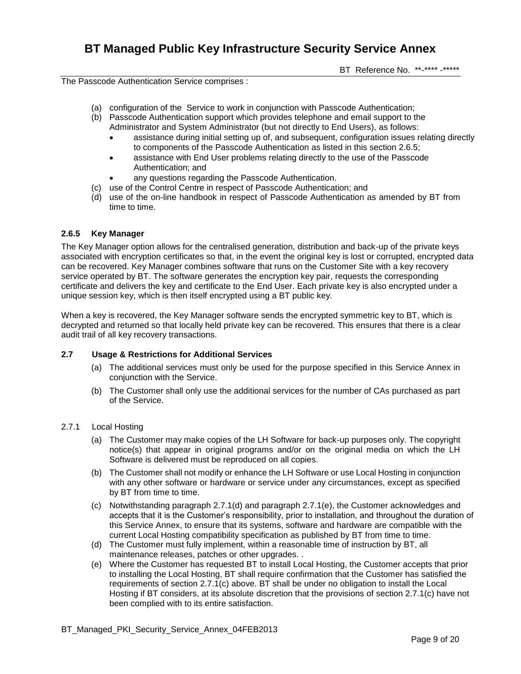BT Reference No. \*\*-\*\*\*\* -\*\*\*\*\*

The Passcode Authentication Service comprises :

- (a) configuration of the Service to work in conjunction with Passcode Authentication;
- (b) Passcode Authentication support which provides telephone and email support to the Administrator and System Administrator (but not directly to End Users), as follows:
	- assistance during initial setting up of, and subsequent, configuration issues relating directly to components of the Passcode Authentication as listed in this section 2.6.5;
	- assistance with End User problems relating directly to the use of the Passcode Authentication; and
	- any questions regarding the Passcode Authentication.
- (c) use of the Control Centre in respect of Passcode Authentication; and
- (d) use of the on-line handbook in respect of Passcode Authentication as amended by BT from time to time.

### **2.6.5 Key Manager**

The Key Manager option allows for the centralised generation, distribution and back-up of the private keys associated with encryption certificates so that, in the event the original key is lost or corrupted, encrypted data can be recovered. Key Manager combines software that runs on the Customer Site with a key recovery service operated by BT. The software generates the encryption key pair, requests the corresponding certificate and delivers the key and certificate to the End User. Each private key is also encrypted under a unique session key, which is then itself encrypted using a BT public key.

When a key is recovered, the Key Manager software sends the encrypted symmetric key to BT, which is decrypted and returned so that locally held private key can be recovered. This ensures that there is a clear audit trail of all key recovery transactions.

### **2.7 Usage & Restrictions for Additional Services**

- (a) The additional services must only be used for the purpose specified in this Service Annex in conjunction with the Service.
- (b) The Customer shall only use the additional services for the number of CAs purchased as part of the Service.

#### 2.7.1 Local Hosting

- (a) The Customer may make copies of the LH Software for back-up purposes only. The copyright notice(s) that appear in original programs and/or on the original media on which the LH Software is delivered must be reproduced on all copies.
- (b) The Customer shall not modify or enhance the LH Software or use Local Hosting in conjunction with any other software or hardware or service under any circumstances, except as specified by BT from time to time.
- (c) Notwithstanding paragraph 2.7.1(d) and paragraph 2.7.1(e), the Customer acknowledges and accepts that it is the Customer's responsibility, prior to installation, and throughout the duration of this Service Annex, to ensure that its systems, software and hardware are compatible with the current Local Hosting compatibility specification as published by BT from time to time.
- (d) The Customer must fully implement, within a reasonable time of instruction by BT, all maintenance releases, patches or other upgrades. .
- (e) Where the Customer has requested BT to install Local Hosting, the Customer accepts that prior to installing the Local Hosting, BT shall require confirmation that the Customer has satisfied the requirements of section 2.7.1(c) above. BT shall be under no obligation to install the Local Hosting if BT considers, at its absolute discretion that the provisions of section 2.7.1(c) have not been complied with to its entire satisfaction.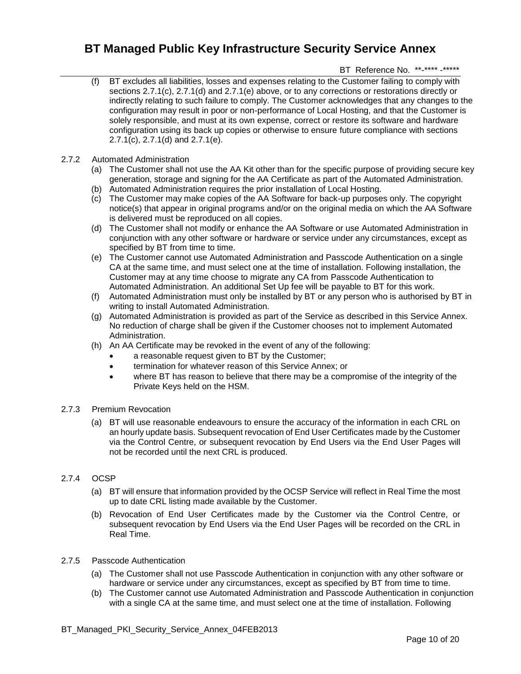## BT Reference No. \*\*-\*\*\*\* -\*\*\*\*\*

- (f) BT excludes all liabilities, losses and expenses relating to the Customer failing to comply with sections 2.7.1(c), 2.7.1(d) and 2.7.1(e) above, or to any corrections or restorations directly or indirectly relating to such failure to comply. The Customer acknowledges that any changes to the configuration may result in poor or non-performance of Local Hosting, and that the Customer is solely responsible, and must at its own expense, correct or restore its software and hardware configuration using its back up copies or otherwise to ensure future compliance with sections 2.7.1(c), 2.7.1(d) and 2.7.1(e).
- 2.7.2 Automated Administration
	- (a) The Customer shall not use the AA Kit other than for the specific purpose of providing secure key generation, storage and signing for the AA Certificate as part of the Automated Administration.
	- (b) Automated Administration requires the prior installation of Local Hosting.
	- (c) The Customer may make copies of the AA Software for back-up purposes only. The copyright notice(s) that appear in original programs and/or on the original media on which the AA Software is delivered must be reproduced on all copies.
	- (d) The Customer shall not modify or enhance the AA Software or use Automated Administration in conjunction with any other software or hardware or service under any circumstances, except as specified by BT from time to time.
	- (e) The Customer cannot use Automated Administration and Passcode Authentication on a single CA at the same time, and must select one at the time of installation. Following installation, the Customer may at any time choose to migrate any CA from Passcode Authentication to Automated Administration. An additional Set Up fee will be payable to BT for this work.
	- (f) Automated Administration must only be installed by BT or any person who is authorised by BT in writing to install Automated Administration.
	- (g) Automated Administration is provided as part of the Service as described in this Service Annex. No reduction of charge shall be given if the Customer chooses not to implement Automated Administration.
	- (h) An AA Certificate may be revoked in the event of any of the following:
		- a reasonable request given to BT by the Customer;
		- termination for whatever reason of this Service Annex; or
		- where BT has reason to believe that there may be a compromise of the integrity of the Private Keys held on the HSM.

### 2.7.3 Premium Revocation

(a) BT will use reasonable endeavours to ensure the accuracy of the information in each CRL on an hourly update basis. Subsequent revocation of End User Certificates made by the Customer via the Control Centre, or subsequent revocation by End Users via the End User Pages will not be recorded until the next CRL is produced.

## 2.7.4 OCSP

- (a) BT will ensure that information provided by the OCSP Service will reflect in Real Time the most up to date CRL listing made available by the Customer.
- (b) Revocation of End User Certificates made by the Customer via the Control Centre, or subsequent revocation by End Users via the End User Pages will be recorded on the CRL in Real Time.
- 2.7.5 Passcode Authentication
	- (a) The Customer shall not use Passcode Authentication in conjunction with any other software or hardware or service under any circumstances, except as specified by BT from time to time.
	- (b) The Customer cannot use Automated Administration and Passcode Authentication in conjunction with a single CA at the same time, and must select one at the time of installation. Following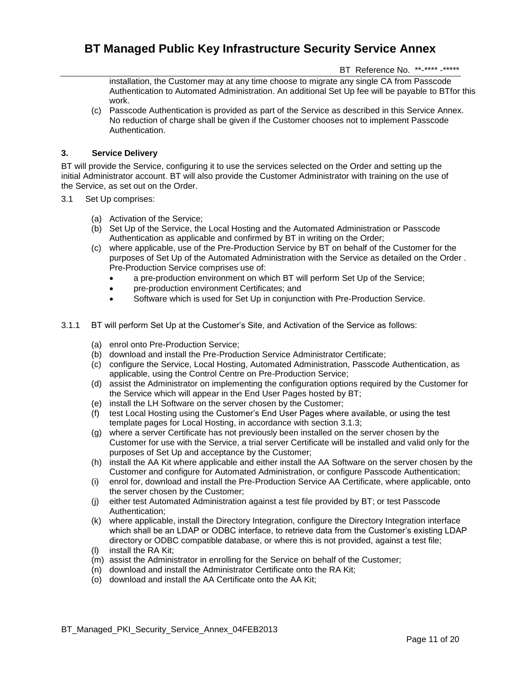BT Reference No. \*\*-\*\*\*\* -\*\*\*\*\*

installation, the Customer may at any time choose to migrate any single CA from Passcode Authentication to Automated Administration. An additional Set Up fee will be payable to BTfor this work.

(c) Passcode Authentication is provided as part of the Service as described in this Service Annex. No reduction of charge shall be given if the Customer chooses not to implement Passcode Authentication.

## **3. Service Delivery**

BT will provide the Service, configuring it to use the services selected on the Order and setting up the initial Administrator account. BT will also provide the Customer Administrator with training on the use of the Service, as set out on the Order.

- 3.1 Set Up comprises:
	- (a) Activation of the Service;
	- (b) Set Up of the Service, the Local Hosting and the Automated Administration or Passcode Authentication as applicable and confirmed by BT in writing on the Order;
	- (c) where applicable, use of the Pre-Production Service by BT on behalf of the Customer for the purposes of Set Up of the Automated Administration with the Service as detailed on the Order . Pre-Production Service comprises use of:
		- a pre-production environment on which BT will perform Set Up of the Service;
		- pre-production environment Certificates; and
		- Software which is used for Set Up in conjunction with Pre-Production Service.
- 3.1.1 BT will perform Set Up at the Customer's Site, and Activation of the Service as follows:
	- (a) enrol onto Pre-Production Service;
	- (b) download and install the Pre-Production Service Administrator Certificate;
	- (c) configure the Service, Local Hosting, Automated Administration, Passcode Authentication, as applicable, using the Control Centre on Pre-Production Service;
	- (d) assist the Administrator on implementing the configuration options required by the Customer for the Service which will appear in the End User Pages hosted by BT;
	- (e) install the LH Software on the server chosen by the Customer;
	- (f) test Local Hosting using the Customer's End User Pages where available, or using the test template pages for Local Hosting, in accordance with section 3.1.3;
	- (g) where a server Certificate has not previously been installed on the server chosen by the Customer for use with the Service, a trial server Certificate will be installed and valid only for the purposes of Set Up and acceptance by the Customer;
	- (h) install the AA Kit where applicable and either install the AA Software on the server chosen by the Customer and configure for Automated Administration, or configure Passcode Authentication;
	- (i) enrol for, download and install the Pre-Production Service AA Certificate, where applicable, onto the server chosen by the Customer;
	- (j) either test Automated Administration against a test file provided by BT; or test Passcode Authentication;
	- (k) where applicable, install the Directory Integration, configure the Directory Integration interface which shall be an LDAP or ODBC interface, to retrieve data from the Customer's existing LDAP directory or ODBC compatible database, or where this is not provided, against a test file;
	- (l) install the RA Kit;
	- (m) assist the Administrator in enrolling for the Service on behalf of the Customer;
	- (n) download and install the Administrator Certificate onto the RA Kit;
	- (o) download and install the AA Certificate onto the AA Kit;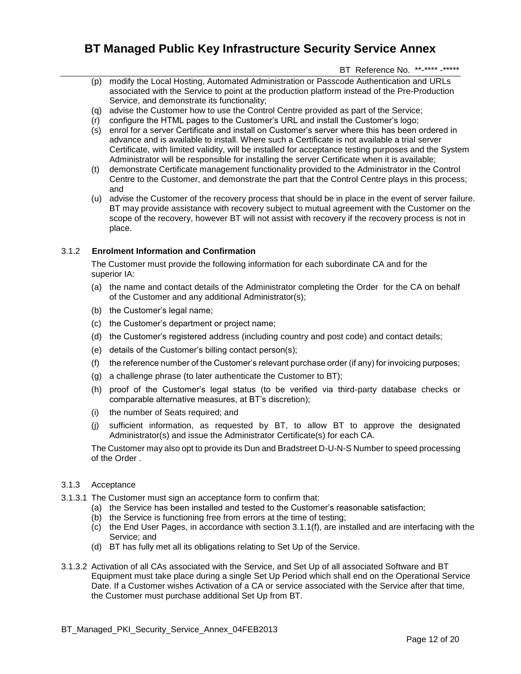BT Reference No. \*\*-\*\*\*\* -\*\*\*\*\*

- (p) modify the Local Hosting, Automated Administration or Passcode Authentication and URLs associated with the Service to point at the production platform instead of the Pre-Production Service, and demonstrate its functionality;
- (q) advise the Customer how to use the Control Centre provided as part of the Service;
- (r) configure the HTML pages to the Customer's URL and install the Customer's logo;
- (s) enrol for a server Certificate and install on Customer's server where this has been ordered in advance and is available to install. Where such a Certificate is not available a trial server Certificate, with limited validity, will be installed for acceptance testing purposes and the System Administrator will be responsible for installing the server Certificate when it is available;
- (t) demonstrate Certificate management functionality provided to the Administrator in the Control Centre to the Customer, and demonstrate the part that the Control Centre plays in this process; and
- (u) advise the Customer of the recovery process that should be in place in the event of server failure. BT may provide assistance with recovery subject to mutual agreement with the Customer on the scope of the recovery, however BT will not assist with recovery if the recovery process is not in place.

## 3.1.2 **Enrolment Information and Confirmation**

The Customer must provide the following information for each subordinate CA and for the superior IA:

- (a) the name and contact details of the Administrator completing the Order for the CA on behalf of the Customer and any additional Administrator(s);
- (b) the Customer's legal name;
- (c) the Customer's department or project name;
- (d) the Customer's registered address (including country and post code) and contact details;
- (e) details of the Customer's billing contact person(s);
- (f) the reference number of the Customer's relevant purchase order (if any) for invoicing purposes;
- (g) a challenge phrase (to later authenticate the Customer to BT);
- (h) proof of the Customer's legal status (to be verified via third-party database checks or comparable alternative measures, at BT's discretion);
- (i) the number of Seats required; and
- (j) sufficient information, as requested by BT, to allow BT to approve the designated Administrator(s) and issue the Administrator Certificate(s) for each CA.

The Customer may also opt to provide its Dun and Bradstreet D-U-N-S Number to speed processing of the Order .

### 3.1.3 Acceptance

- 3.1.3.1 The Customer must sign an acceptance form to confirm that:
	- (a) the Service has been installed and tested to the Customer's reasonable satisfaction;
	- (b) the Service is functioning free from errors at the time of testing;
	- (c) the End User Pages, in accordance with section 3.1.1(f), are installed and are interfacing with the Service; and
	- (d) BT has fully met all its obligations relating to Set Up of the Service.
- 3.1.3.2 Activation of all CAs associated with the Service, and Set Up of all associated Software and BT Equipment must take place during a single Set Up Period which shall end on the Operational Service Date. If a Customer wishes Activation of a CA or service associated with the Service after that time, the Customer must purchase additional Set Up from BT.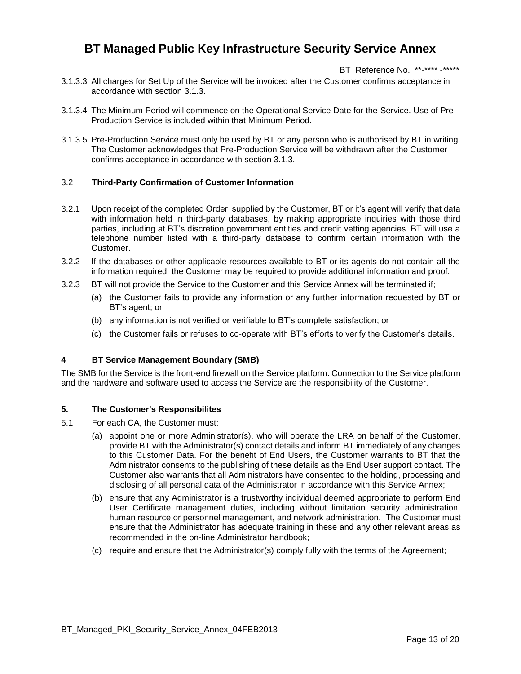BT Reference No. \*\*-\*\*\*\* -\*\*\*\*\*

- 3.1.3.3 All charges for Set Up of the Service will be invoiced after the Customer confirms acceptance in accordance with section 3.1.3.
- 3.1.3.4 The Minimum Period will commence on the Operational Service Date for the Service. Use of Pre-Production Service is included within that Minimum Period.
- 3.1.3.5 Pre-Production Service must only be used by BT or any person who is authorised by BT in writing. The Customer acknowledges that Pre-Production Service will be withdrawn after the Customer confirms acceptance in accordance with section 3.1.3.

### 3.2 **Third-Party Confirmation of Customer Information**

- 3.2.1 Upon receipt of the completed Order supplied by the Customer, BT or it's agent will verify that data with information held in third-party databases, by making appropriate inquiries with those third parties, including at BT's discretion government entities and credit vetting agencies. BT will use a telephone number listed with a third-party database to confirm certain information with the Customer.
- 3.2.2 If the databases or other applicable resources available to BT or its agents do not contain all the information required, the Customer may be required to provide additional information and proof.
- 3.2.3 BT will not provide the Service to the Customer and this Service Annex will be terminated if;
	- (a) the Customer fails to provide any information or any further information requested by BT or BT's agent; or
	- (b) any information is not verified or verifiable to BT's complete satisfaction; or
	- (c) the Customer fails or refuses to co-operate with BT's efforts to verify the Customer's details.

### **4 BT Service Management Boundary (SMB)**

The SMB for the Service is the front-end firewall on the Service platform. Connection to the Service platform and the hardware and software used to access the Service are the responsibility of the Customer.

### **5. The Customer's Responsibilites**

- 5.1 For each CA, the Customer must:
	- (a) appoint one or more Administrator(s), who will operate the LRA on behalf of the Customer, provide BT with the Administrator(s) contact details and inform BT immediately of any changes to this Customer Data. For the benefit of End Users, the Customer warrants to BT that the Administrator consents to the publishing of these details as the End User support contact. The Customer also warrants that all Administrators have consented to the holding, processing and disclosing of all personal data of the Administrator in accordance with this Service Annex;
	- (b) ensure that any Administrator is a trustworthy individual deemed appropriate to perform End User Certificate management duties, including without limitation security administration, human resource or personnel management, and network administration. The Customer must ensure that the Administrator has adequate training in these and any other relevant areas as recommended in the on-line Administrator handbook;
	- (c) require and ensure that the Administrator(s) comply fully with the terms of the Agreement;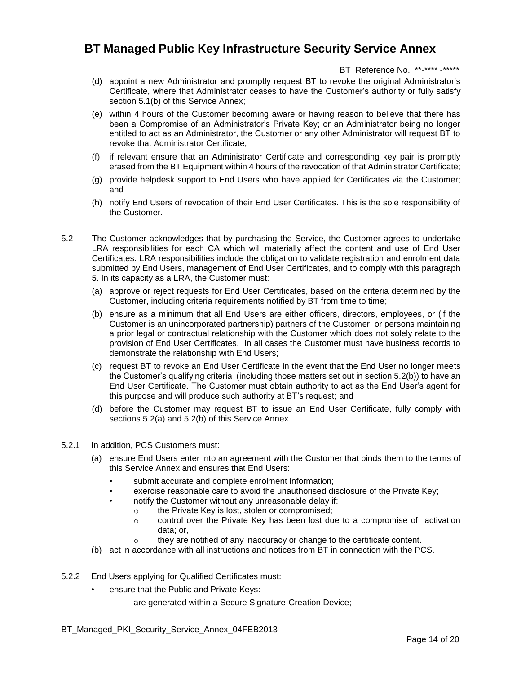BT Reference No. \*\*-\*\*\*\* -\*\*\*\*\*

- (d) appoint a new Administrator and promptly request BT to revoke the original Administrator's Certificate, where that Administrator ceases to have the Customer's authority or fully satisfy section 5.1(b) of this Service Annex;
- (e) within 4 hours of the Customer becoming aware or having reason to believe that there has been a Compromise of an Administrator's Private Key; or an Administrator being no longer entitled to act as an Administrator, the Customer or any other Administrator will request BT to revoke that Administrator Certificate;
- (f) if relevant ensure that an Administrator Certificate and corresponding key pair is promptly erased from the BT Equipment within 4 hours of the revocation of that Administrator Certificate;
- (g) provide helpdesk support to End Users who have applied for Certificates via the Customer; and
- (h) notify End Users of revocation of their End User Certificates. This is the sole responsibility of the Customer.
- 5.2 The Customer acknowledges that by purchasing the Service, the Customer agrees to undertake LRA responsibilities for each CA which will materially affect the content and use of End User Certificates. LRA responsibilities include the obligation to validate registration and enrolment data submitted by End Users, management of End User Certificates, and to comply with this paragraph 5. In its capacity as a LRA, the Customer must:
	- (a) approve or reject requests for End User Certificates, based on the criteria determined by the Customer, including criteria requirements notified by BT from time to time;
	- (b) ensure as a minimum that all End Users are either officers, directors, employees, or (if the Customer is an unincorporated partnership) partners of the Customer; or persons maintaining a prior legal or contractual relationship with the Customer which does not solely relate to the provision of End User Certificates. In all cases the Customer must have business records to demonstrate the relationship with End Users;
	- (c) request BT to revoke an End User Certificate in the event that the End User no longer meets the Customer's qualifying criteria (including those matters set out in section 5.2(b)) to have an End User Certificate. The Customer must obtain authority to act as the End User's agent for this purpose and will produce such authority at BT's request; and
	- (d) before the Customer may request BT to issue an End User Certificate, fully comply with sections 5.2(a) and 5.2(b) of this Service Annex.
- 5.2.1 In addition, PCS Customers must:
	- (a) ensure End Users enter into an agreement with the Customer that binds them to the terms of this Service Annex and ensures that End Users:
		- submit accurate and complete enrolment information;
		- exercise reasonable care to avoid the unauthorised disclosure of the Private Key;
		- notify the Customer without any unreasonable delay if:
			- o the Private Key is lost, stolen or compromised;
			- $\circ$  control over the Private Key has been lost due to a compromise of activation data; or,
			- o they are notified of any inaccuracy or change to the certificate content.
	- (b) act in accordance with all instructions and notices from BT in connection with the PCS.
- 5.2.2 End Users applying for Qualified Certificates must:
	- ensure that the Public and Private Keys:
		- are generated within a Secure Signature-Creation Device;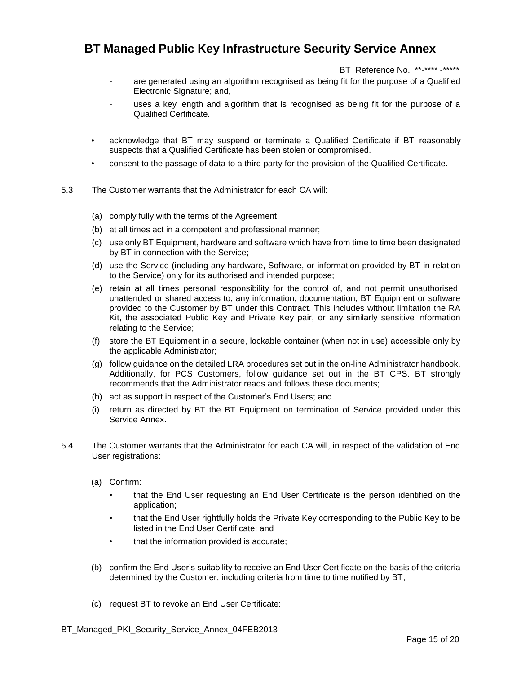BT Reference No. \*\*-\*\*\*\* -\*\*\*\*\*

- are generated using an algorithm recognised as being fit for the purpose of a Qualified Electronic Signature; and,
- uses a key length and algorithm that is recognised as being fit for the purpose of a Qualified Certificate.
- acknowledge that BT may suspend or terminate a Qualified Certificate if BT reasonably suspects that a Qualified Certificate has been stolen or compromised.
- consent to the passage of data to a third party for the provision of the Qualified Certificate.
- 5.3 The Customer warrants that the Administrator for each CA will:
	- (a) comply fully with the terms of the Agreement;
	- (b) at all times act in a competent and professional manner;
	- (c) use only BT Equipment, hardware and software which have from time to time been designated by BT in connection with the Service;
	- (d) use the Service (including any hardware, Software, or information provided by BT in relation to the Service) only for its authorised and intended purpose;
	- (e) retain at all times personal responsibility for the control of, and not permit unauthorised, unattended or shared access to, any information, documentation, BT Equipment or software provided to the Customer by BT under this Contract. This includes without limitation the RA Kit, the associated Public Key and Private Key pair, or any similarly sensitive information relating to the Service;
	- (f) store the BT Equipment in a secure, lockable container (when not in use) accessible only by the applicable Administrator;
	- (g) follow guidance on the detailed LRA procedures set out in the on-line Administrator handbook. Additionally, for PCS Customers, follow guidance set out in the BT CPS. BT strongly recommends that the Administrator reads and follows these documents;
	- (h) act as support in respect of the Customer's End Users; and
	- (i) return as directed by BT the BT Equipment on termination of Service provided under this Service Annex.
- 5.4 The Customer warrants that the Administrator for each CA will, in respect of the validation of End User registrations:
	- (a) Confirm:
		- that the End User requesting an End User Certificate is the person identified on the application;
		- that the End User rightfully holds the Private Key corresponding to the Public Key to be listed in the End User Certificate; and
		- that the information provided is accurate;
	- (b) confirm the End User's suitability to receive an End User Certificate on the basis of the criteria determined by the Customer, including criteria from time to time notified by BT;
	- (c) request BT to revoke an End User Certificate: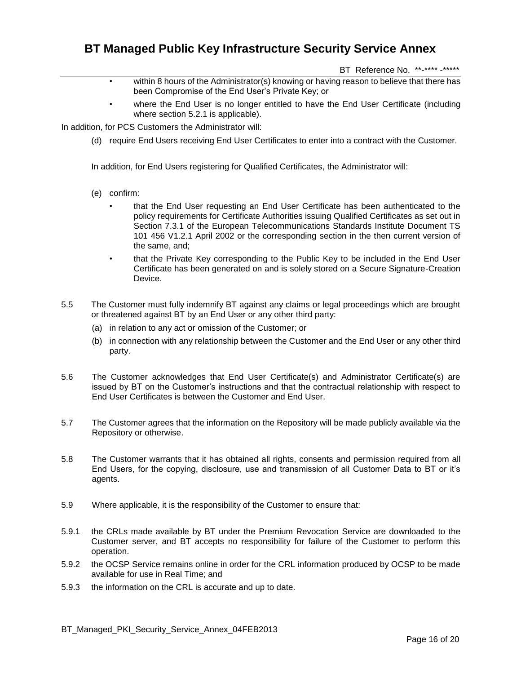BT Reference No. \*\*-\*\*\*\* -\*\*\*\*\*

- within 8 hours of the Administrator(s) knowing or having reason to believe that there has been Compromise of the End User's Private Key; or
- where the End User is no longer entitled to have the End User Certificate (including where section 5.2.1 is applicable).

In addition, for PCS Customers the Administrator will:

(d) require End Users receiving End User Certificates to enter into a contract with the Customer.

In addition, for End Users registering for Qualified Certificates, the Administrator will:

- (e) confirm:
	- that the End User requesting an End User Certificate has been authenticated to the policy requirements for Certificate Authorities issuing Qualified Certificates as set out in Section 7.3.1 of the European Telecommunications Standards Institute Document TS 101 456 V1.2.1 April 2002 or the corresponding section in the then current version of the same, and;
	- that the Private Key corresponding to the Public Key to be included in the End User Certificate has been generated on and is solely stored on a Secure Signature-Creation Device.
- 5.5 The Customer must fully indemnify BT against any claims or legal proceedings which are brought or threatened against BT by an End User or any other third party:
	- (a) in relation to any act or omission of the Customer; or
	- (b) in connection with any relationship between the Customer and the End User or any other third party.
- 5.6 The Customer acknowledges that End User Certificate(s) and Administrator Certificate(s) are issued by BT on the Customer's instructions and that the contractual relationship with respect to End User Certificates is between the Customer and End User.
- 5.7 The Customer agrees that the information on the Repository will be made publicly available via the Repository or otherwise.
- 5.8 The Customer warrants that it has obtained all rights, consents and permission required from all End Users, for the copying, disclosure, use and transmission of all Customer Data to BT or it's agents.
- 5.9 Where applicable, it is the responsibility of the Customer to ensure that:
- 5.9.1 the CRLs made available by BT under the Premium Revocation Service are downloaded to the Customer server, and BT accepts no responsibility for failure of the Customer to perform this operation.
- 5.9.2 the OCSP Service remains online in order for the CRL information produced by OCSP to be made available for use in Real Time; and
- 5.9.3 the information on the CRL is accurate and up to date.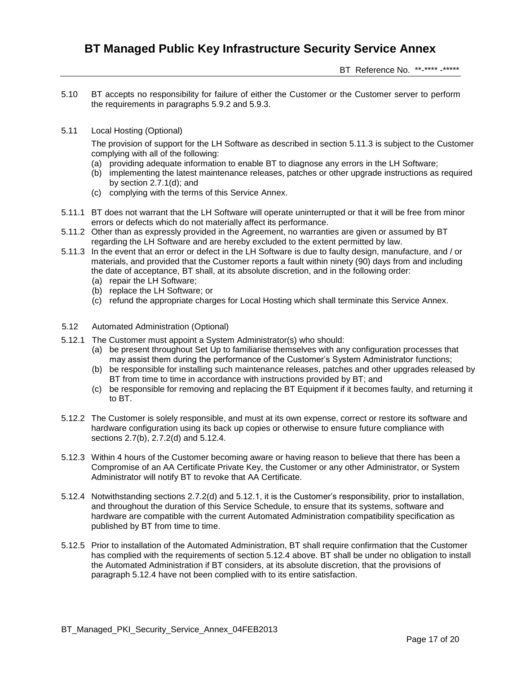BT Reference No. \*\*-\*\*\*\* -\*\*\*\*\*

- 5.10 BT accepts no responsibility for failure of either the Customer or the Customer server to perform the requirements in paragraphs 5.9.2 and 5.9.3.
- 5.11 Local Hosting (Optional)

The provision of support for the LH Software as described in section 5.11.3 is subject to the Customer complying with all of the following:

- (a) providing adequate information to enable BT to diagnose any errors in the LH Software;
- (b) implementing the latest maintenance releases, patches or other upgrade instructions as required by section 2.7.1(d); and
- (c) complying with the terms of this Service Annex.
- 5.11.1 BT does not warrant that the LH Software will operate uninterrupted or that it will be free from minor errors or defects which do not materially affect its performance.
- 5.11.2 Other than as expressly provided in the Agreement, no warranties are given or assumed by BT regarding the LH Software and are hereby excluded to the extent permitted by law.
- 5.11.3 In the event that an error or defect in the LH Software is due to faulty design, manufacture, and / or materials, and provided that the Customer reports a fault within ninety (90) days from and including the date of acceptance, BT shall, at its absolute discretion, and in the following order:
	- (a) repair the LH Software;
	- (b) replace the LH Software; or
	- (c) refund the appropriate charges for Local Hosting which shall terminate this Service Annex.
- 5.12 Automated Administration (Optional)
- 5.12.1 The Customer must appoint a System Administrator(s) who should:
	- (a) be present throughout Set Up to familiarise themselves with any configuration processes that may assist them during the performance of the Customer's System Administrator functions;
	- (b) be responsible for installing such maintenance releases, patches and other upgrades released by BT from time to time in accordance with instructions provided by BT; and
	- (c) be responsible for removing and replacing the BT Equipment if it becomes faulty, and returning it to BT.
- 5.12.2 The Customer is solely responsible, and must at its own expense, correct or restore its software and hardware configuration using its back up copies or otherwise to ensure future compliance with sections 2.7(b), 2.7.2(d) and 5.12.4.
- 5.12.3 Within 4 hours of the Customer becoming aware or having reason to believe that there has been a Compromise of an AA Certificate Private Key, the Customer or any other Administrator, or System Administrator will notify BT to revoke that AA Certificate.
- 5.12.4 Notwithstanding sections 2.7.2(d) and 5.12.1, it is the Customer's responsibility, prior to installation, and throughout the duration of this Service Schedule, to ensure that its systems, software and hardware are compatible with the current Automated Administration compatibility specification as published by BT from time to time.
- 5.12.5 Prior to installation of the Automated Administration, BT shall require confirmation that the Customer has complied with the requirements of section 5.12.4 above. BT shall be under no obligation to install the Automated Administration if BT considers, at its absolute discretion, that the provisions of paragraph 5.12.4 have not been complied with to its entire satisfaction.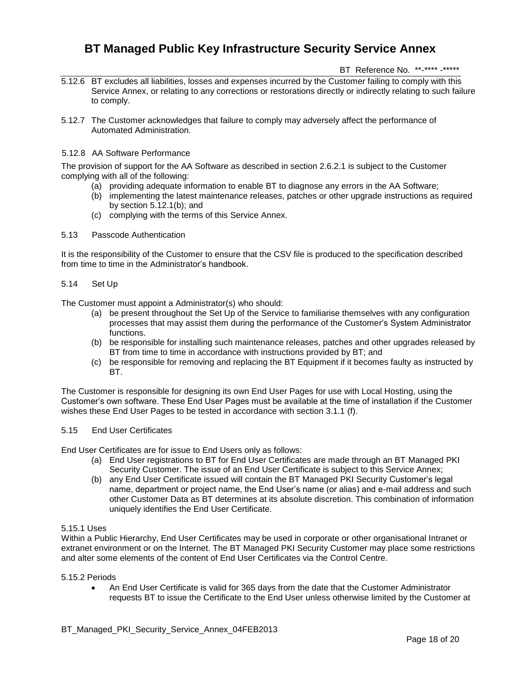BT Reference No. \*\*-\*\*\*\* -\*\*\*\*\*

- 5.12.6 BT excludes all liabilities, losses and expenses incurred by the Customer failing to comply with this Service Annex, or relating to any corrections or restorations directly or indirectly relating to such failure to comply.
- 5.12.7 The Customer acknowledges that failure to comply may adversely affect the performance of Automated Administration.

### 5.12.8 AA Software Performance

The provision of support for the AA Software as described in section 2.6.2.1 is subject to the Customer complying with all of the following:

- (a) providing adequate information to enable BT to diagnose any errors in the AA Software;
- (b) implementing the latest maintenance releases, patches or other upgrade instructions as required by section 5.12.1(b); and
- (c) complying with the terms of this Service Annex.
- 5.13 Passcode Authentication

It is the responsibility of the Customer to ensure that the CSV file is produced to the specification described from time to time in the Administrator's handbook.

#### 5.14 Set Up

The Customer must appoint a Administrator(s) who should:

- (a) be present throughout the Set Up of the Service to familiarise themselves with any configuration processes that may assist them during the performance of the Customer's System Administrator functions.
- (b) be responsible for installing such maintenance releases, patches and other upgrades released by BT from time to time in accordance with instructions provided by BT; and
- (c) be responsible for removing and replacing the BT Equipment if it becomes faulty as instructed by **BT.**

The Customer is responsible for designing its own End User Pages for use with Local Hosting, using the Customer's own software. These End User Pages must be available at the time of installation if the Customer wishes these End User Pages to be tested in accordance with section 3.1.1 (f).

## 5.15 End User Certificates

End User Certificates are for issue to End Users only as follows:

- (a) End User registrations to BT for End User Certificates are made through an BT Managed PKI Security Customer. The issue of an End User Certificate is subject to this Service Annex;
- (b) any End User Certificate issued will contain the BT Managed PKI Security Customer's legal name, department or project name, the End User's name (or alias) and e-mail address and such other Customer Data as BT determines at its absolute discretion. This combination of information uniquely identifies the End User Certificate.

### 5.15.1 Uses

Within a Public Hierarchy, End User Certificates may be used in corporate or other organisational Intranet or extranet environment or on the Internet. The BT Managed PKI Security Customer may place some restrictions and alter some elements of the content of End User Certificates via the Control Centre.

#### 5.15.2 Periods

 An End User Certificate is valid for 365 days from the date that the Customer Administrator requests BT to issue the Certificate to the End User unless otherwise limited by the Customer at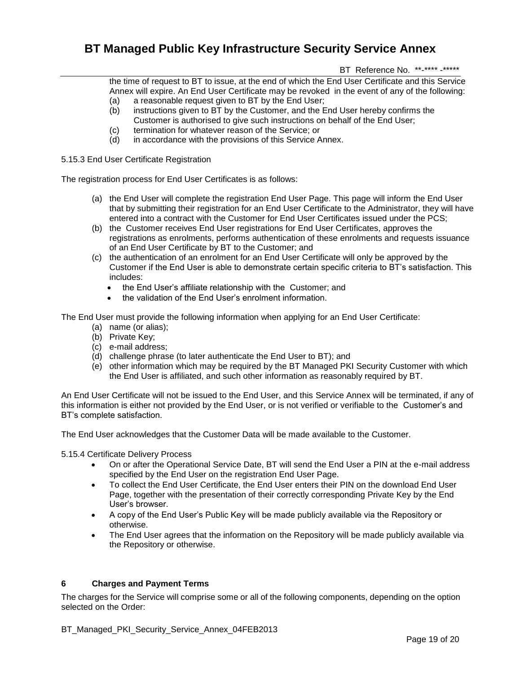BT Reference No. \*\*-\*\*\*\* -\*\*\*\*\*

the time of request to BT to issue, at the end of which the End User Certificate and this Service Annex will expire. An End User Certificate may be revoked in the event of any of the following:

- (a) a reasonable request given to BT by the End User;
- (b) instructions given to BT by the Customer, and the End User hereby confirms the Customer is authorised to give such instructions on behalf of the End User;
- (c) termination for whatever reason of the Service; or
- (d) in accordance with the provisions of this Service Annex.

5.15.3 End User Certificate Registration

The registration process for End User Certificates is as follows:

- (a) the End User will complete the registration End User Page. This page will inform the End User that by submitting their registration for an End User Certificate to the Administrator, they will have entered into a contract with the Customer for End User Certificates issued under the PCS;
- (b) the Customer receives End User registrations for End User Certificates, approves the registrations as enrolments, performs authentication of these enrolments and requests issuance of an End User Certificate by BT to the Customer; and
- (c) the authentication of an enrolment for an End User Certificate will only be approved by the Customer if the End User is able to demonstrate certain specific criteria to BT's satisfaction. This includes:
	- the End User's affiliate relationship with the Customer: and
	- the validation of the End User's enrolment information.

The End User must provide the following information when applying for an End User Certificate:

- (a) name (or alias);
- (b) Private Key;
- (c) e-mail address;
- (d) challenge phrase (to later authenticate the End User to BT); and
- (e) other information which may be required by the BT Managed PKI Security Customer with which the End User is affiliated, and such other information as reasonably required by BT.

An End User Certificate will not be issued to the End User, and this Service Annex will be terminated, if any of this information is either not provided by the End User, or is not verified or verifiable to the Customer's and BT's complete satisfaction.

The End User acknowledges that the Customer Data will be made available to the Customer.

5.15.4 Certificate Delivery Process

- On or after the Operational Service Date, BT will send the End User a PIN at the e-mail address specified by the End User on the registration End User Page.
- To collect the End User Certificate, the End User enters their PIN on the download End User Page, together with the presentation of their correctly corresponding Private Key by the End User's browser.
- A copy of the End User's Public Key will be made publicly available via the Repository or otherwise.
- The End User agrees that the information on the Repository will be made publicly available via the Repository or otherwise.

### **6 Charges and Payment Terms**

The charges for the Service will comprise some or all of the following components, depending on the option selected on the Order: